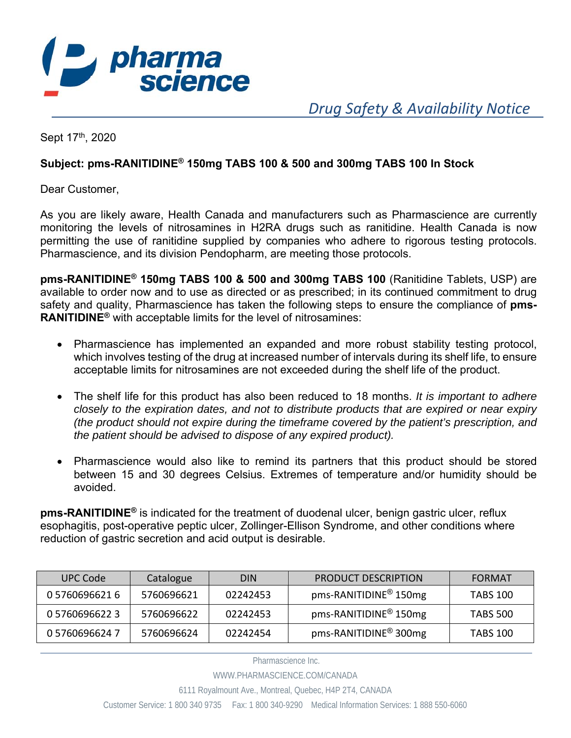

 *Drug Safety & Availability Notice* 

Sept 17th, 2020

## **Subject: pms-RANITIDINE® 150mg TABS 100 & 500 and 300mg TABS 100 In Stock**

Dear Customer,

As you are likely aware, Health Canada and manufacturers such as Pharmascience are currently monitoring the levels of nitrosamines in H2RA drugs such as ranitidine. Health Canada is now permitting the use of ranitidine supplied by companies who adhere to rigorous testing protocols. Pharmascience, and its division Pendopharm, are meeting those protocols.

**pms-RANITIDINE® 150mg TABS 100 & 500 and 300mg TABS 100** (Ranitidine Tablets, USP) are available to order now and to use as directed or as prescribed; in its continued commitment to drug safety and quality, Pharmascience has taken the following steps to ensure the compliance of **pms-RANITIDINE®** with acceptable limits for the level of nitrosamines:

- Pharmascience has implemented an expanded and more robust stability testing protocol, which involves testing of the drug at increased number of intervals during its shelf life, to ensure acceptable limits for nitrosamines are not exceeded during the shelf life of the product.
- The shelf life for this product has also been reduced to 18 months. *It is important to adhere closely to the expiration dates, and not to distribute products that are expired or near expiry (the product should not expire during the timeframe covered by the patient's prescription, and the patient should be advised to dispose of any expired product).*
- Pharmascience would also like to remind its partners that this product should be stored between 15 and 30 degrees Celsius. Extremes of temperature and/or humidity should be avoided.

**pms-RANITIDINE®** is indicated for the treatment of duodenal ulcer, benign gastric ulcer, reflux esophagitis, post-operative peptic ulcer, Zollinger-Ellison Syndrome, and other conditions where reduction of gastric secretion and acid output is desirable.

| UPC Code       | Catalogue  | <b>DIN</b> | <b>PRODUCT DESCRIPTION</b>        | FORMAT          |
|----------------|------------|------------|-----------------------------------|-----------------|
| 0 5760696621 6 | 5760696621 | 02242453   | pms-RANITIDINE <sup>®</sup> 150mg | <b>TABS 100</b> |
| 0 5760696622 3 | 5760696622 | 02242453   | pms-RANITIDINE <sup>®</sup> 150mg | <b>TABS 500</b> |
| 0 5760696624 7 | 5760696624 | 02242454   | pms-RANITIDINE <sup>®</sup> 300mg | TABS 100        |

Pharmascience Inc.